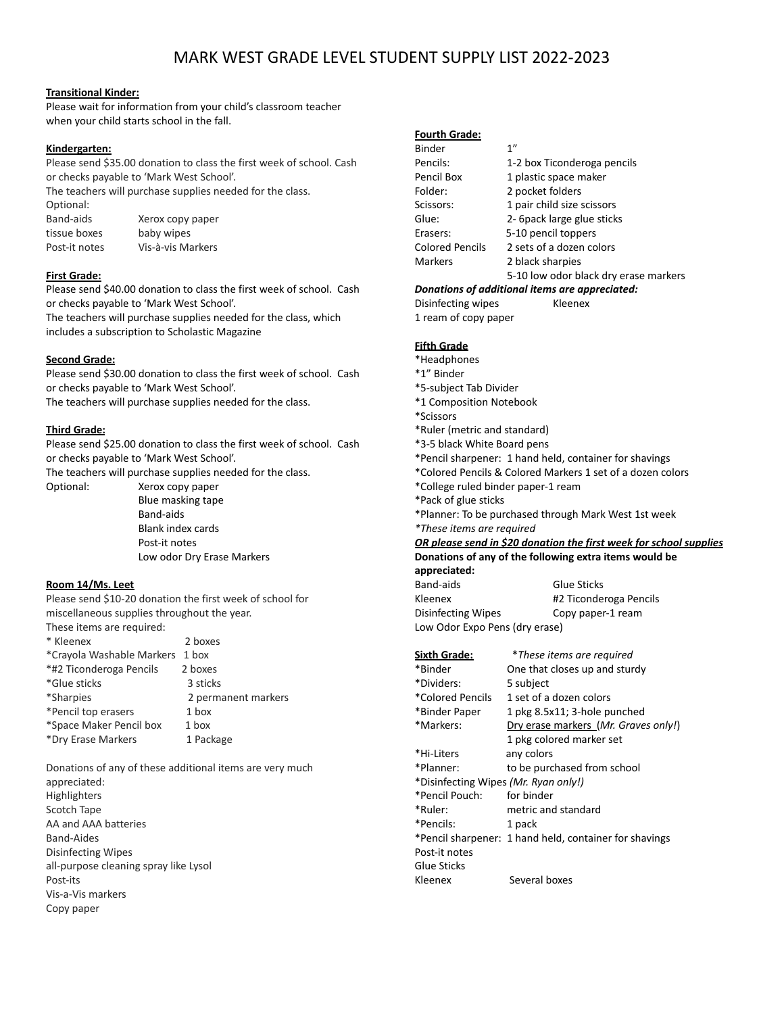# MARK WEST GRADE LEVEL STUDENT SUPPLY LIST 2022-2023

## **Transitional Kinder:**

Please wait for information from your child's classroom teacher when your child starts school in the fall.

#### **Kindergarten:**

Please send \$35.00 donation to class the first week of school. Cash or checks payable to 'Mark West School'.

The teachers will purchase supplies needed for the class. Optional: Band-aids Xerox copy paper tissue boxes baby wipes Post-it notes Vis-à-vis Markers

#### **First Grade:**

Please send \$40.00 donation to class the first week of school. Cash or checks payable to 'Mark West School'. The teachers will purchase supplies needed for the class, which includes a subscription to Scholastic Magazine

#### **Second Grade:**

Please send \$30.00 donation to class the first week of school. Cash or checks payable to 'Mark West School'. The teachers will purchase supplies needed for the class.

### **Third Grade:**

Please send \$25.00 donation to class the first week of school. Cash or checks payable to 'Mark West School'.

The teachers will purchase supplies needed for the class.

Optional: Xerox copy paper Blue masking tape Band-aids Blank index cards Post-it notes Low odor Dry Erase Markers

# **Room 14/Ms. Leet**

Please send \$10-20 donation the first week of school for miscellaneous supplies throughout the year. These items are required:

| * Kleenex                 | 2 boxes             |
|---------------------------|---------------------|
| *Crayola Washable Markers | 1 box               |
| *#2 Ticonderoga Pencils   | 2 boxes             |
| *Glue sticks              | 3 sticks            |
| *Sharpies                 | 2 permanent markers |
| *Pencil top erasers       | 1 box               |
| *Space Maker Pencil box   | $1$ box             |
| *Dry Erase Markers        | 1 Package           |
|                           |                     |

Donations of any of these additional items are very much appreciated: Highlighters Scotch Tape AA and AAA batteries Band-Aides Disinfecting Wipes all-purpose cleaning spray like Lysol Post-its Vis-a-Vis markers Copy paper

# **Fourth Grade:**

| Donations of additional items are appreciated: |                                       |  |
|------------------------------------------------|---------------------------------------|--|
|                                                | 5-10 low odor black dry erase markers |  |
| <b>Markers</b>                                 | 2 black sharpies                      |  |
| <b>Colored Pencils</b>                         | 2 sets of a dozen colors              |  |
| Erasers:                                       | 5-10 pencil toppers                   |  |
| Glue:                                          | 2- 6 pack large glue sticks           |  |
| Scissors:                                      | 1 pair child size scissors            |  |
| Folder:                                        | 2 pocket folders                      |  |
| Pencil Box                                     | 1 plastic space maker                 |  |
| Pencils:                                       | 1-2 box Ticonderoga pencils           |  |
| <b>Binder</b>                                  | 1"                                    |  |

Disinfecting wipes Kleenex 1 ream of copy paper

# **Fifth Grade**

| *Headphones                                                               |                        |  |
|---------------------------------------------------------------------------|------------------------|--|
| *1" Binder                                                                |                        |  |
|                                                                           |                        |  |
| *5-subject Tab Divider                                                    |                        |  |
| *1 Composition Notebook                                                   |                        |  |
| *Scissors                                                                 |                        |  |
| *Ruler (metric and standard)                                              |                        |  |
| *3-5 black White Board pens                                               |                        |  |
| *Pencil sharpener: 1 hand held, container for shavings                    |                        |  |
| *Colored Pencils & Colored Markers 1 set of a dozen colors                |                        |  |
| *College ruled binder paper-1 ream                                        |                        |  |
| *Pack of glue sticks                                                      |                        |  |
| *Planner: To be purchased through Mark West 1st week                      |                        |  |
| *These items are required                                                 |                        |  |
| <u>OR please send in \$20 donation the first week for school supplies</u> |                        |  |
| Donations of any of the following extra items would be                    |                        |  |
| appreciated:                                                              |                        |  |
| Band-aids                                                                 | <b>Glue Sticks</b>     |  |
| Kleenex                                                                   | #2 Ticonderoga Pencils |  |
| Disinfecting Wipes                                                        | Copy paper-1 ream      |  |
| Low Odor Expo Pens (dry erase)                                            |                        |  |

**Sixth Grade:** \**These items are required* \*Binder One that closes up and sturdy \*Dividers: 5 subject \*Colored Pencils 1 set of a dozen colors \*Binder Paper 1 pkg 8.5x11; 3-hole punched \*Markers: Dry erase markers (*Mr. Graves only!*) 1 pkg colored marker set \*Hi-Liters any colors \*Planner: to be purchased from school \*Disinfecting Wipes *(Mr. Ryan only!)* \*Pencil Pouch: for binder metric and standard \*Pencils: 1 pack \*Pencil sharpener: 1 hand held, container for shavings Post-it notes Glue Sticks Kleenex Several boxes